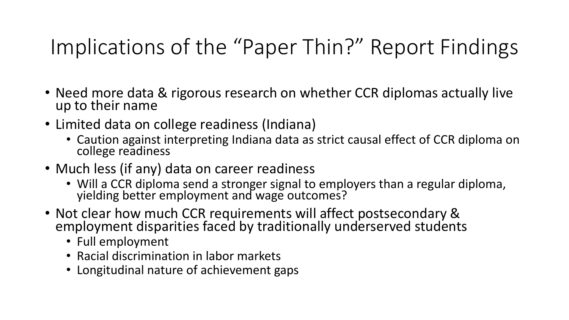# Implications of the "Paper Thin?" Report Findings

- Need more data & rigorous research on whether CCR diplomas actually live up to their name
- Limited data on college readiness (Indiana)
	- Caution against interpreting Indiana data as strict causal effect of CCR diploma on college readiness
- Much less (if any) data on career readiness
	- Will a CCR diploma send a stronger signal to employers than a regular diploma, yielding better employment and wage outcomes?
- Not clear how much CCR requirements will affect postsecondary & employment disparities faced by traditionally underserved students
	- Full employment
	- Racial discrimination in labor markets
	- Longitudinal nature of achievement gaps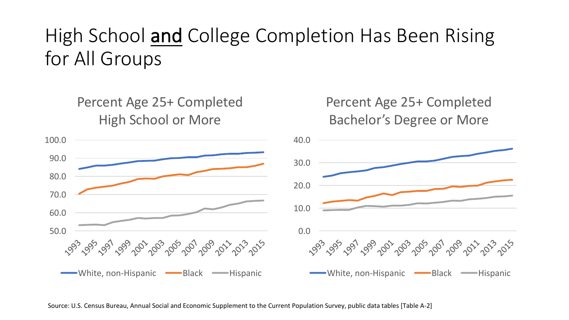## High School and College Completion Has Been Rising for All Groups



Source: U.S. Census Bureau, Annual Social and Economic Supplement to the Current Population Survey, public data tables [Table A-2]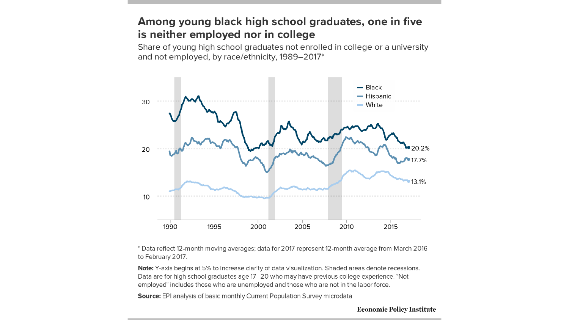### Among young black high school graduates, one in five is neither employed nor in college

Share of young high school graduates not enrolled in college or a university and not employed, by race/ethnicity, 1989-2017\*



\* Data reflect 12-month moving averages; data for 2017 represent 12-month average from March 2016 to February 2017.

Note: Y-axis begins at 5% to increase clarity of data visualization. Shaded areas denote recessions. Data are for high school graduates age 17-20 who may have previous college experience. "Not employed" includes those who are unemployed and those who are not in the labor force.

Source: EPI analysis of basic monthly Current Population Survey microdata

**Economic Policy Institute**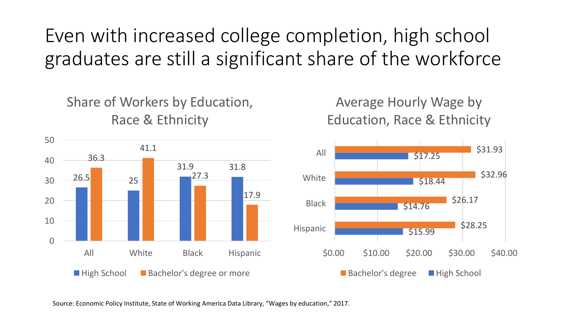## Even with increased college completion, high school graduates are still a significant share of the workforce



Average Hourly Wage by Education, Race & Ethnicity



Source: Economic Policy Institute, State of Working America Data Library, "Wages by education," 2017.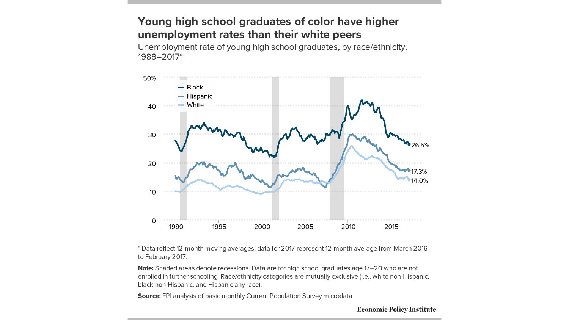### Young high school graduates of color have higher unemployment rates than their white peers

Unemployment rate of young high school graduates, by race/ethnicity, 1989-2017\*



\* Data reflect 12-month moving averages; data for 2017 represent 12-month average from March 2016 to February 2017.

Note: Shaded areas denote recessions. Data are for high school graduates age 17-20 who are not enrolled in further schooling. Race/ethnicity categories are mutually exclusive (i.e., white non-Hispanic, black non-Hispanic, and Hispanic any race).

Source: EPI analysis of basic monthly Current Population Survey microdata

**Economic Policy Institute**